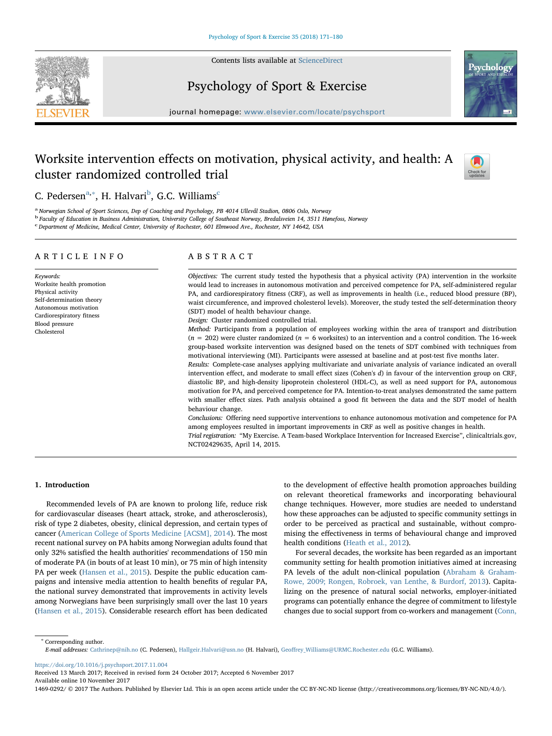Contents lists available at [ScienceDirect](http://www.sciencedirect.com/science/journal/14690292)





journal homepage: [www.elsevier.com/locate/psychsport](https://www.elsevier.com/locate/psychsport)

# Worksite intervention effects on motivation, physical activity, and health: A cluster randomized controlled trial



Psycholo

C. Pedersen<sup>[a,](#page-0-0)[∗](#page-0-1)</sup>, H. Halvari<sup>[b](#page-0-2)</sup>, G.C. Williams<sup>[c](#page-0-3)</sup>

<span id="page-0-0"></span><sup>a</sup> Norwegian School of Sport Sciences, Dep of Coaching and Psychology, PB 4014 Ullevål Stadion, 0806 Oslo, Norway

<span id="page-0-2"></span><sup>b</sup> Faculty of Education in Business Administration, University College of Southeast Norway, Bredalsveien 14, 3511 Hønefoss, Norway

<span id="page-0-3"></span>c<br>Department of Medicine, Medical Center, University of Rochester, 601 Elmwood Ave., Rochester, NY 14642, USA

# ARTICLE INFO

Keywords: Worksite health promotion Physical activity Self-determination theory Autonomous motivation Cardiorespiratory fitness Blood pressure Cholesterol

# ABSTRACT

Objectives: The current study tested the hypothesis that a physical activity (PA) intervention in the worksite would lead to increases in autonomous motivation and perceived competence for PA, self-administered regular PA, and cardiorespiratory fitness (CRF), as well as improvements in health (i.e., reduced blood pressure (BP), waist circumference, and improved cholesterol levels). Moreover, the study tested the self-determination theory (SDT) model of health behaviour change.

Design: Cluster randomized controlled trial.

Method: Participants from a population of employees working within the area of transport and distribution  $(n = 202)$  were cluster randomized  $(n = 6$  worksites) to an intervention and a control condition. The 16-week group-based worksite intervention was designed based on the tenets of SDT combined with techniques from motivational interviewing (MI). Participants were assessed at baseline and at post-test five months later.

Results: Complete-case analyses applying multivariate and univariate analysis of variance indicated an overall intervention effect, and moderate to small effect sizes (Cohen's d) in favour of the intervention group on CRF, diastolic BP, and high-density lipoprotein cholesterol (HDL-C), as well as need support for PA, autonomous motivation for PA, and perceived competence for PA. Intention-to-treat analyses demonstrated the same pattern with smaller effect sizes. Path analysis obtained a good fit between the data and the SDT model of health behaviour change.

Conclusions: Offering need supportive interventions to enhance autonomous motivation and competence for PA among employees resulted in important improvements in CRF as well as positive changes in health. Trial registration: "My Exercise. A Team-based Workplace Intervention for Increased Exercise", clinicaltrials.gov,

NCT02429635, April 14, 2015.

# 1. Introduction

Recommended levels of PA are known to prolong life, reduce risk for cardiovascular diseases (heart attack, stroke, and atherosclerosis), risk of type 2 diabetes, obesity, clinical depression, and certain types of cancer ([American College of Sports Medicine \[ACSM\], 2014\)](#page-8-0). The most recent national survey on PA habits among Norwegian adults found that only 32% satisfied the health authorities' recommendations of 150 min of moderate PA (in bouts of at least 10 min), or 75 min of high intensity PA per week ([Hansen et al., 2015\)](#page-8-1). Despite the public education campaigns and intensive media attention to health benefits of regular PA, the national survey demonstrated that improvements in activity levels among Norwegians have been surprisingly small over the last 10 years ([Hansen et al., 2015](#page-8-1)). Considerable research effort has been dedicated to the development of effective health promotion approaches building on relevant theoretical frameworks and incorporating behavioural change techniques. However, more studies are needed to understand how these approaches can be adjusted to specific community settings in order to be perceived as practical and sustainable, without compromising the effectiveness in terms of behavioural change and improved health conditions ([Heath et al., 2012](#page-8-2)).

For several decades, the worksite has been regarded as an important community setting for health promotion initiatives aimed at increasing PA levels of the adult non-clinical population ([Abraham & Graham-](#page-8-3)[Rowe, 2009; Rongen, Robroek, van Lenthe, & Burdorf, 2013](#page-8-3)). Capitalizing on the presence of natural social networks, employer-initiated programs can potentially enhance the degree of commitment to lifestyle changes due to social support from co-workers and management [\(Conn,](#page-8-4)

<span id="page-0-1"></span><sup>∗</sup> Corresponding author.

<https://doi.org/10.1016/j.psychsport.2017.11.004>

Received 13 March 2017; Received in revised form 24 October 2017; Accepted 6 November 2017

Available online 10 November 2017

1469-0292/ © 2017 The Authors. Published by Elsevier Ltd. This is an open access article under the CC BY-NC-ND license (http://creativecommons.org/licenses/BY-NC-ND/4.0/).

E-mail addresses: [Cathrinep@nih.no](mailto:Cathrinep@nih.no) (C. Pedersen), [Hallgeir.Halvari@usn.no](mailto:Hallgeir.Halvari@usn.no) (H. Halvari), Geoff[rey\\_Williams@URMC.Rochester.edu](mailto:Geoffrey_Williams@URMC.Rochester.edu) (G.C. Williams).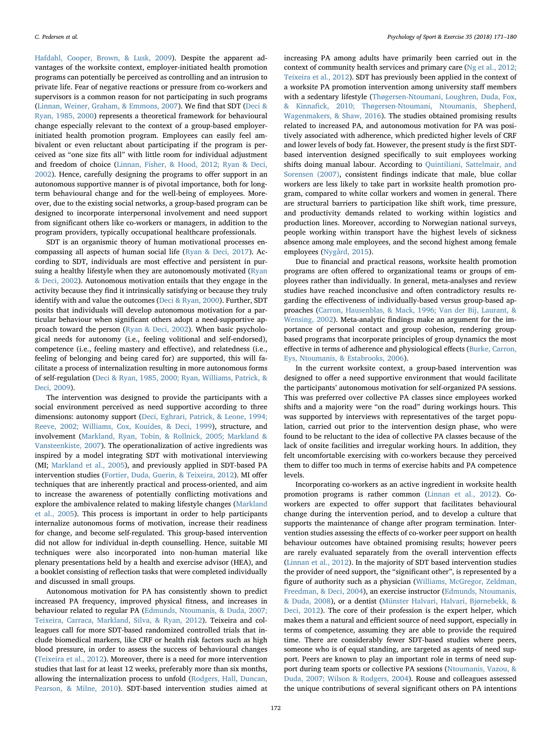[Hafdahl, Cooper, Brown, & Lusk, 2009](#page-8-4)). Despite the apparent advantages of the worksite context, employer-initiated health promotion programs can potentially be perceived as controlling and an intrusion to private life. Fear of negative reactions or pressure from co-workers and supervisors is a common reason for not participating in such programs ([Linnan, Weiner, Graham, & Emmons, 2007](#page-9-0)). We find that SDT [\(Deci &](#page-8-5) [Ryan, 1985, 2000](#page-8-5)) represents a theoretical framework for behavioural change especially relevant to the context of a group-based employerinitiated health promotion program. Employees can easily feel ambivalent or even reluctant about participating if the program is perceived as "one size fits all" with little room for individual adjustment and freedom of choice [\(Linnan, Fisher, & Hood, 2012; Ryan & Deci,](#page-8-6) [2002\)](#page-8-6). Hence, carefully designing the programs to offer support in an autonomous supportive manner is of pivotal importance, both for longterm behavioural change and for the well-being of employees. Moreover, due to the existing social networks, a group-based program can be designed to incorporate interpersonal involvement and need support from significant others like co-workers or managers, in addition to the program providers, typically occupational healthcare professionals.

SDT is an organismic theory of human motivational processes encompassing all aspects of human social life ([Ryan & Deci, 2017\)](#page-9-1). According to SDT, individuals are most effective and persistent in pursuing a healthy lifestyle when they are autonomously motivated ([Ryan](#page-9-2) [& Deci, 2002](#page-9-2)). Autonomous motivation entails that they engage in the activity because they find it intrinsically satisfying or because they truly identify with and value the outcomes ([Deci & Ryan, 2000\)](#page-8-7). Further, SDT posits that individuals will develop autonomous motivation for a particular behaviour when significant others adopt a need-supportive approach toward the person ([Ryan & Deci, 2002](#page-9-2)). When basic psychological needs for autonomy (i.e., feeling volitional and self-endorsed), competence (i.e., feeling mastery and effective), and relatedness (i.e., feeling of belonging and being cared for) are supported, this will facilitate a process of internalization resulting in more autonomous forms of self-regulation ([Deci & Ryan, 1985, 2000; Ryan, Williams, Patrick, &](#page-8-5) [Deci, 2009](#page-8-5)).

The intervention was designed to provide the participants with a social environment perceived as need supportive according to three dimensions: autonomy support ([Deci, Eghrari, Patrick, & Leone, 1994;](#page-8-8) [Reeve, 2002; Williams, Cox, Kouides, & Deci, 1999\)](#page-8-8), structure, and involvement [\(Markland, Ryan, Tobin, & Rollnick, 2005; Markland &](#page-9-3) [Vansteenkiste, 2007](#page-9-3)). The operationalization of active ingredients was inspired by a model integrating SDT with motivational interviewing (MI; [Markland et al., 2005](#page-9-3)), and previously applied in SDT-based PA intervention studies [\(Fortier, Duda, Guerin, & Teixeira, 2012\)](#page-8-9). MI offer techniques that are inherently practical and process-oriented, and aim to increase the awareness of potentially conflicting motivations and explore the ambivalence related to making lifestyle changes ([Markland](#page-9-3) [et al., 2005](#page-9-3)). This process is important in order to help participants internalize autonomous forms of motivation, increase their readiness for change, and become self-regulated. This group-based intervention did not allow for individual in-depth counselling. Hence, suitable MI techniques were also incorporated into non-human material like plenary presentations held by a health and exercise advisor (HEA), and a booklet consisting of reflection tasks that were completed individually and discussed in small groups.

Autonomous motivation for PA has consistently shown to predict increased PA frequency, improved physical fitness, and increases in behaviour related to regular PA [\(Edmunds, Ntoumanis, & Duda, 2007;](#page-8-10) [Teixeira, Carraca, Markland, Silva, & Ryan, 2012](#page-8-10)). Teixeira and colleagues call for more SDT-based randomized controlled trials that include biomedical markers, like CRF or health risk factors such as high blood pressure, in order to assess the success of behavioural changes ([Teixeira et al., 2012\)](#page-9-4). Moreover, there is a need for more intervention studies that last for at least 12 weeks, preferably more than six months, allowing the internalization process to unfold [\(Rodgers, Hall, Duncan,](#page-9-5) [Pearson, & Milne, 2010](#page-9-5)). SDT-based intervention studies aimed at increasing PA among adults have primarily been carried out in the context of community health services and primary care [\(Ng et al., 2012;](#page-9-6) [Teixeira et al., 2012\)](#page-9-6). SDT has previously been applied in the context of a worksite PA promotion intervention among university staff members with a sedentary lifestyle ([Thøgersen-Ntoumani, Loughren, Duda, Fox,](#page-9-7) & Kinnafi[ck, 2010; Thøgersen-Ntoumani, Ntoumanis, Shepherd,](#page-9-7) [Wagenmakers, & Shaw, 2016](#page-9-7)). The studies obtained promising results related to increased PA, and autonomous motivation for PA was positively associated with adherence, which predicted higher levels of CRF and lower levels of body fat. However, the present study is the first SDTbased intervention designed specifically to suit employees working shifts doing manual labour. According to [Quintiliani, Sattelmair, and](#page-9-8) [Sorensen \(2007\)](#page-9-8), consistent findings indicate that male, blue collar workers are less likely to take part in worksite health promotion program, compared to white collar workers and women in general. There are structural barriers to participation like shift work, time pressure, and productivity demands related to working within logistics and production lines. Moreover, according to Norwegian national surveys, people working within transport have the highest levels of sickness absence among male employees, and the second highest among female employees [\(Nygård, 2015\)](#page-9-9).

Due to financial and practical reasons, worksite health promotion programs are often offered to organizational teams or groups of employees rather than individually. In general, meta-analyses and review studies have reached inconclusive and often contradictory results regarding the effectiveness of individually-based versus group-based approaches ([Carron, Hausenblas, & Mack, 1996; Van der Bij, Laurant, &](#page-8-11) [Wensing, 2002\)](#page-8-11). Meta-analytic findings make an argument for the importance of personal contact and group cohesion, rendering groupbased programs that incorporate principles of group dynamics the most effective in terms of adherence and physiological effects ([Burke, Carron,](#page-8-12) [Eys, Ntoumanis, & Estabrooks, 2006\)](#page-8-12).

In the current worksite context, a group-based intervention was designed to offer a need supportive environment that would facilitate the participants' autonomous motivation for self-organized PA sessions. This was preferred over collective PA classes since employees worked shifts and a majority were "on the road" during workings hours. This was supported by interviews with representatives of the target population, carried out prior to the intervention design phase, who were found to be reluctant to the idea of collective PA classes because of the lack of onsite facilities and irregular working hours. In addition, they felt uncomfortable exercising with co-workers because they perceived them to differ too much in terms of exercise habits and PA competence levels.

Incorporating co-workers as an active ingredient in worksite health promotion programs is rather common [\(Linnan et al., 2012\)](#page-8-6). Coworkers are expected to offer support that facilitates behavioural change during the intervention period, and to develop a culture that supports the maintenance of change after program termination. Intervention studies assessing the effects of co-worker peer support on health behaviour outcomes have obtained promising results; however peers are rarely evaluated separately from the overall intervention effects ([Linnan et al., 2012](#page-8-6)). In the majority of SDT based intervention studies the provider of need support, the "significant other", is represented by a figure of authority such as a physician [\(Williams, McGregor, Zeldman,](#page-9-10) [Freedman, & Deci, 2004\)](#page-9-10), an exercise instructor [\(Edmunds, Ntoumanis,](#page-8-13) [& Duda, 2008\)](#page-8-13), or a dentist [\(Münster Halvari, Halvari, Bjørnebekk, &](#page-9-11) [Deci, 2012\)](#page-9-11). The core of their profession is the expert helper, which makes them a natural and efficient source of need support, especially in terms of competence, assuming they are able to provide the required time. There are considerably fewer SDT-based studies where peers, someone who is of equal standing, are targeted as agents of need support. Peers are known to play an important role in terms of need support during team sports or collective PA sessions ([Ntoumanis, Vazou, &](#page-9-12) [Duda, 2007; Wilson & Rodgers, 2004\)](#page-9-12). Rouse and colleagues assessed the unique contributions of several significant others on PA intentions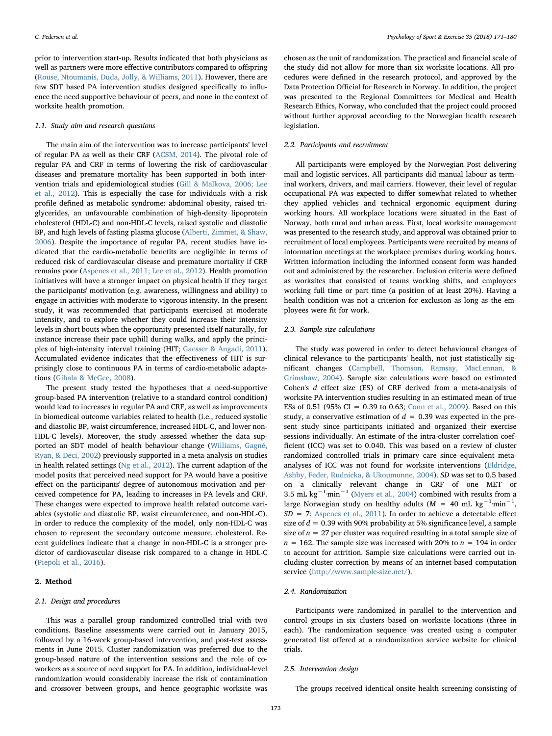prior to intervention start-up. Results indicated that both physicians as well as partners were more effective contributors compared to offspring ([Rouse, Ntoumanis, Duda, Jolly, & Williams, 2011](#page-9-13)). However, there are few SDT based PA intervention studies designed specifically to influence the need supportive behaviour of peers, and none in the context of worksite health promotion.

## 1.1. Study aim and research questions

The main aim of the intervention was to increase participants' level of regular PA as well as their CRF ([ACSM, 2014\)](#page-8-0). The pivotal role of regular PA and CRF in terms of lowering the risk of cardiovascular diseases and premature mortality has been supported in both intervention trials and epidemiological studies ([Gill & Malkova, 2006; Lee](#page-8-14) [et al., 2012\)](#page-8-14). This is especially the case for individuals with a risk profile defined as metabolic syndrome: abdominal obesity, raised triglycerides, an unfavourable combination of high-density lipoprotein cholesterol (HDL-C) and non-HDL-C levels, raised systolic and diastolic BP, and high levels of fasting plasma glucose ([Alberti, Zimmet, & Shaw,](#page-8-15) [2006\)](#page-8-15). Despite the importance of regular PA, recent studies have indicated that the cardio-metabolic benefits are negligible in terms of reduced risk of cardiovascular disease and premature mortality if CRF remains poor [\(Aspenes et al., 2011; Lee et al., 2012](#page-8-16)). Health promotion initiatives will have a stronger impact on physical health if they target the participants' motivation (e.g. awareness, willingness and ability) to engage in activities with moderate to vigorous intensity. In the present study, it was recommended that participants exercised at moderate intensity, and to explore whether they could increase their intensity levels in short bouts when the opportunity presented itself naturally, for instance increase their pace uphill during walks, and apply the principles of high-intensity interval training (HIT; [Gaesser & Angadi, 2011](#page-8-17)). Accumulated evidence indicates that the effectiveness of HIT is surprisingly close to continuous PA in terms of cardio-metabolic adaptations [\(Gibala & McGee, 2008](#page-8-18)).

The present study tested the hypotheses that a need-supportive group-based PA intervention (relative to a standard control condition) would lead to increases in regular PA and CRF, as well as improvements in biomedical outcome variables related to health (i.e., reduced systolic and diastolic BP, waist circumference, increased HDL-C, and lower non-HDL-C levels). Moreover, the study assessed whether the data supported an SDT model of health behaviour change [\(Williams, Gagné,](#page-9-14) [Ryan, & Deci, 2002\)](#page-9-14) previously supported in a meta-analysis on studies in health related settings ([Ng et al., 2012](#page-9-6)). The current adaption of the model posits that perceived need support for PA would have a positive effect on the participants' degree of autonomous motivation and perceived competence for PA, leading to increases in PA levels and CRF. These changes were expected to improve health related outcome variables (systolic and diastolic BP, waist circumference, and non-HDL-C). In order to reduce the complexity of the model, only non-HDL-C was chosen to represent the secondary outcome measure, cholesterol. Recent guidelines indicate that a change in non-HDL-C is a stronger predictor of cardiovascular disease risk compared to a change in HDL-C ([Piepoli et al., 2016\)](#page-9-15).

# 2. Method

## 2.1. Design and procedures

This was a parallel group randomized controlled trial with two conditions. Baseline assessments were carried out in January 2015, followed by a 16-week group-based intervention, and post-test assessments in June 2015. Cluster randomization was preferred due to the group-based nature of the intervention sessions and the role of coworkers as a source of need support for PA. In addition, individual-level randomization would considerably increase the risk of contamination and crossover between groups, and hence geographic worksite was

chosen as the unit of randomization. The practical and financial scale of the study did not allow for more than six worksite locations. All procedures were defined in the research protocol, and approved by the Data Protection Official for Research in Norway. In addition, the project was presented to the Regional Committees for Medical and Health Research Ethics, Norway, who concluded that the project could proceed without further approval according to the Norwegian health research legislation.

## 2.2. Participants and recruitment

All participants were employed by the Norwegian Post delivering mail and logistic services. All participants did manual labour as terminal workers, drivers, and mail carriers. However, their level of regular occupational PA was expected to differ somewhat related to whether they applied vehicles and technical ergonomic equipment during working hours. All workplace locations were situated in the East of Norway, both rural and urban areas. First, local worksite management was presented to the research study, and approval was obtained prior to recruitment of local employees. Participants were recruited by means of information meetings at the workplace premises during working hours. Written information including the informed consent form was handed out and administered by the researcher. Inclusion criteria were defined as worksites that consisted of teams working shifts, and employees working full time or part time (a position of at least 20%). Having a health condition was not a criterion for exclusion as long as the employees were fit for work.

## 2.3. Sample size calculations

The study was powered in order to detect behavioural changes of clinical relevance to the participants' health, not just statistically significant changes ([Campbell, Thomson, Ramsay, MacLennan, &](#page-8-19) [Grimshaw, 2004](#page-8-19)). Sample size calculations were based on estimated Cohen's d effect size (ES) of CRF derived from a meta-analysis of worksite PA intervention studies resulting in an estimated mean of true ESs of 0.51 (95% CI = 0.39 to 0.63; [Conn et al., 2009](#page-8-4)). Based on this study, a conservative estimation of  $d = 0.39$  was expected in the present study since participants initiated and organized their exercise sessions individually. An estimate of the intra-cluster correlation coefficient (ICC) was set to 0.040. This was based on a review of cluster randomized controlled trials in primary care since equivalent metaanalyses of ICC was not found for worksite interventions ([Eldridge,](#page-8-20) [Ashby, Feder, Rudnicka, & Ukoumunne, 2004\)](#page-8-20). SD was set to 0.5 based on a clinically relevant change in CRF of one MET or 3.5 mL kg−<sup>1</sup> ·min−<sup>1</sup> [\(Myers et al., 2004\)](#page-9-16) combined with results from a large Norwegian study on healthy adults ( $M = 40$  mL kg<sup>-1</sup>·min<sup>-1</sup>,  $SD = 7$ ; [Aspenes et al., 2011](#page-8-16)). In order to achieve a detectable effect size of  $d = 0.39$  with 90% probability at 5% significance level, a sample size of  $n = 27$  per cluster was required resulting in a total sample size of  $n = 162$ . The sample size was increased with 20% to  $n = 194$  in order to account for attrition. Sample size calculations were carried out including cluster correction by means of an internet-based computation service ([http://www.sample-size.net/\)](http://www.sample-size.net/).

# 2.4. Randomization

Participants were randomized in parallel to the intervention and control groups in six clusters based on worksite locations (three in each). The randomization sequence was created using a computer generated list offered at a randomization service website for clinical trials.

#### 2.5. Intervention design

The groups received identical onsite health screening consisting of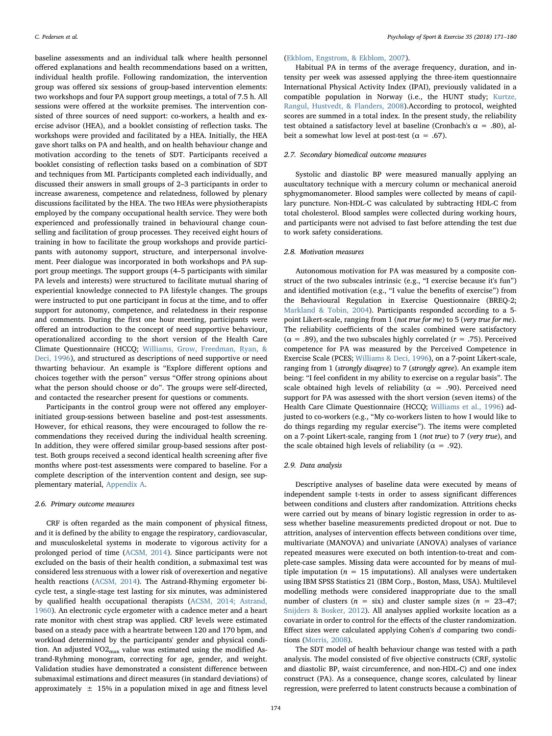baseline assessments and an individual talk where health personnel offered explanations and health recommendations based on a written, individual health profile. Following randomization, the intervention group was offered six sessions of group-based intervention elements: two workshops and four PA support group meetings, a total of 7.5 h. All sessions were offered at the worksite premises. The intervention consisted of three sources of need support: co-workers, a health and exercise advisor (HEA), and a booklet consisting of reflection tasks. The workshops were provided and facilitated by a HEA. Initially, the HEA gave short talks on PA and health, and on health behaviour change and motivation according to the tenets of SDT. Participants received a booklet consisting of reflection tasks based on a combination of SDT and techniques from MI. Participants completed each individually, and discussed their answers in small groups of 2–3 participants in order to increase awareness, competence and relatedness, followed by plenary discussions facilitated by the HEA. The two HEAs were physiotherapists employed by the company occupational health service. They were both experienced and professionally trained in behavioural change counselling and facilitation of group processes. They received eight hours of training in how to facilitate the group workshops and provide participants with autonomy support, structure, and interpersonal involvement. Peer dialogue was incorporated in both workshops and PA support group meetings. The support groups (4–5 participants with similar PA levels and interests) were structured to facilitate mutual sharing of experiential knowledge connected to PA lifestyle changes. The groups were instructed to put one participant in focus at the time, and to offer support for autonomy, competence, and relatedness in their response and comments. During the first one hour meeting, participants were offered an introduction to the concept of need supportive behaviour, operationalized according to the short version of the Health Care Climate Questionnaire (HCCQ; [Williams, Grow, Freedman, Ryan, &](#page-9-17) [Deci, 1996\)](#page-9-17), and structured as descriptions of need supportive or need thwarting behaviour. An example is "Explore different options and choices together with the person" versus "Offer strong opinions about what the person should choose or do". The groups were self-directed, and contacted the researcher present for questions or comments.

Participants in the control group were not offered any employerinitiated group-sessions between baseline and post-test assessments. However, for ethical reasons, they were encouraged to follow the recommendations they received during the individual health screening. In addition, they were offered similar group-based sessions after posttest. Both groups received a second identical health screening after five months where post-test assessments were compared to baseline. For a complete description of the intervention content and design, see supplementary material, [Appendix A](#page-8-21).

#### 2.6. Primary outcome measures

CRF is often regarded as the main component of physical fitness, and it is defined by the ability to engage the respiratory, cardiovascular, and musculoskeletal systems in moderate to vigorous activity for a prolonged period of time [\(ACSM, 2014\)](#page-8-0). Since participants were not excluded on the basis of their health condition, a submaximal test was considered less strenuous with a lower risk of overexertion and negative health reactions [\(ACSM, 2014\)](#page-8-0). The Astrand-Rhyming ergometer bicycle test, a single-stage test lasting for six minutes, was administered by qualified health occupational therapists ([ACSM, 2014; Astrand,](#page-8-0) [1960\)](#page-8-0). An electronic cycle ergometer with a cadence meter and a heart rate monitor with chest strap was applied. CRF levels were estimated based on a steady pace with a heartrate between 120 and 170 bpm, and workload determined by the participants' gender and physical condition. An adjusted  $VO2<sub>max</sub>$  value was estimated using the modified Astrand-Ryhming monogram, correcting for age, gender, and weight. Validation studies have demonstrated a consistent difference between submaximal estimations and direct measures (in standard deviations) of approximately  $\pm$  15% in a population mixed in age and fitness level

#### ([Ekblom, Engstrom, & Ekblom, 2007](#page-8-22)).

Habitual PA in terms of the average frequency, duration, and intensity per week was assessed applying the three-item questionnaire International Physical Activity Index (IPAI), previously validated in a compatible population in Norway (i.e., the HUNT study; [Kurtze,](#page-8-23) [Rangul, Hustvedt, & Flanders, 2008\)](#page-8-23).According to protocol, weighted scores are summed in a total index. In the present study, the reliability test obtained a satisfactory level at baseline (Cronbach's  $\alpha$  = .80), albeit a somewhat low level at post-test ( $\alpha = .67$ ).

# 2.7. Secondary biomedical outcome measures

Systolic and diastolic BP were measured manually applying an auscultatory technique with a mercury column or mechanical aneroid sphygmomanometer. Blood samples were collected by means of capillary puncture. Non-HDL-C was calculated by subtracting HDL-C from total cholesterol. Blood samples were collected during working hours, and participants were not advised to fast before attending the test due to work safety considerations.

#### 2.8. Motivation measures

Autonomous motivation for PA was measured by a composite construct of the two subscales intrinsic (e.g., "I exercise because it's fun") and identified motivation (e.g., "I value the benefits of exercise") from the Behavioural Regulation in Exercise Questionnaire (BREQ-2; [Markland & Tobin, 2004](#page-9-18)). Participants responded according to a 5 point Likert-scale, ranging from 1 (not true for me) to 5 (very true for me). The reliability coefficients of the scales combined were satisfactory ( $\alpha$  = .89), and the two subscales highly correlated ( $r$  = .75). Perceived competence for PA was measured by the Perceived Competence in Exercise Scale (PCES; [Williams & Deci, 1996\)](#page-9-19), on a 7-point Likert-scale, ranging from 1 (strongly disagree) to 7 (strongly agree). An example item being: "I feel confident in my ability to exercise on a regular basis". The scale obtained high levels of reliability ( $\alpha$  = .90). Perceived need support for PA was assessed with the short version (seven items) of the Health Care Climate Questionnaire (HCCQ; [Williams et al., 1996\)](#page-9-17) adjusted to co-workers (e.g., "My co-workers listen to how I would like to do things regarding my regular exercise"). The items were completed on a 7-point Likert-scale, ranging from 1 (not true) to 7 (very true), and the scale obtained high levels of reliability ( $\alpha = .92$ ).

#### 2.9. Data analysis

Descriptive analyses of baseline data were executed by means of independent sample t-tests in order to assess significant differences between conditions and clusters after randomization. Attritions checks were carried out by means of binary logistic regression in order to assess whether baseline measurements predicted dropout or not. Due to attrition, analyses of intervention effects between conditions over time, multivariate (MANOVA) and univariate (ANOVA) analyses of variance repeated measures were executed on both intention-to-treat and complete-case samples. Missing data were accounted for by means of multiple imputation ( $n = 15$  imputations). All analyses were undertaken using IBM SPSS Statistics 21 (IBM Corp., Boston, Mass, USA). Multilevel modelling methods were considered inappropriate due to the small number of clusters ( $n = \text{six}$ ) and cluster sample sizes ( $n = 23-47$ ; [Snijders & Bosker, 2012\)](#page-9-20). All analyses applied worksite location as a covariate in order to control for the effects of the cluster randomization. Effect sizes were calculated applying Cohen's d comparing two conditions [\(Morris, 2008](#page-9-21)).

The SDT model of health behaviour change was tested with a path analysis. The model consisted of five objective constructs (CRF, systolic and diastolic BP, waist circumference, and non-HDL-C) and one index construct (PA). As a consequence, change scores, calculated by linear regression, were preferred to latent constructs because a combination of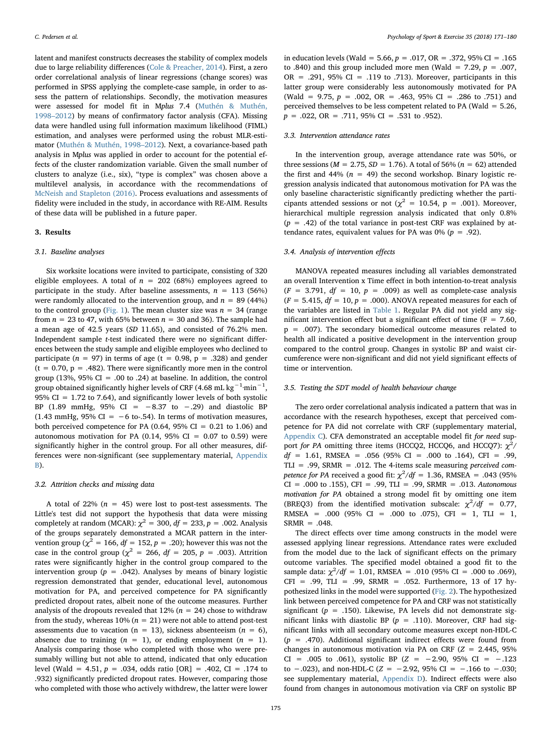latent and manifest constructs decreases the stability of complex models due to large reliability differences [\(Cole & Preacher, 2014](#page-8-24)). First, a zero order correlational analysis of linear regressions (change scores) was performed in SPSS applying the complete-case sample, in order to assess the pattern of relationships. Secondly, the motivation measures were assessed for model fit in Mplus 7.4 [\(Muthén & Muthén,](#page-9-22) [1998](#page-9-22)–2012) by means of confirmatory factor analysis (CFA). Missing data were handled using full information maximum likelihood (FIML) estimation, and analyses were performed using the robust MLR-estimator [\(Muthén & Muthén, 1998](#page-9-22)–2012). Next, a covariance-based path analysis in Mplus was applied in order to account for the potential effects of the cluster randomization variable. Given the small number of clusters to analyze (i.e., six), "type is complex" was chosen above a multilevel analysis, in accordance with the recommendations of [McNeish and Stapleton \(2016\).](#page-9-23) Process evaluations and assessments of fidelity were included in the study, in accordance with RE-AIM. Results of these data will be published in a future paper.

#### 3. Results

#### 3.1. Baseline analyses

Six worksite locations were invited to participate, consisting of 320 eligible employees. A total of  $n = 202$  (68%) employees agreed to participate in the study. After baseline assessments,  $n = 113$  (56%) were randomly allocated to the intervention group, and  $n = 89$  (44%) to the control group [\(Fig. 1\)](#page-5-0). The mean cluster size was  $n = 34$  (range from  $n = 23$  to 47, with 65% between  $n = 30$  and 36). The sample had a mean age of 42.5 years (SD 11.65), and consisted of 76.2% men. Independent sample t-test indicated there were no significant differences between the study sample and eligible employees who declined to participate ( $n = 97$ ) in terms of age ( $t = 0.98$ ,  $p = .328$ ) and gender  $(t = 0.70, p = .482)$ . There were significantly more men in the control group (13%, 95% CI = .00 to .24) at baseline. In addition, the control group obtained significantly higher levels of CRF (4.68 mL kg $^{-1}$ ·min $^{-1}$ , 95% CI = 1.72 to 7.64), and significantly lower levels of both systolic BP (1.89 mmHg, 95% CI =  $-8.37$  to  $-.29$ ) and diastolic BP (1.43 mmHg, 95% CI =  $-6$  to-.54). In terms of motivation measures, both perceived competence for PA (0.64, 95% CI =  $0.21$  to 1.06) and autonomous motivation for PA (0.14, 95% CI =  $0.07$  to 0.59) were significantly higher in the control group. For all other measures, differences were non-significant (see supplementary material, Appendix B).

#### 3.2. Attrition checks and missing data

A total of 22% ( $n = 45$ ) were lost to post-test assessments. The Little's test did not support the hypothesis that data were missing completely at random (MCAR):  $\chi^2 = 300$ ,  $df = 233$ ,  $p = .002$ . Analysis of the groups separately demonstrated a MCAR pattern in the intervention group ( $\chi^2$  = 166,  $df$  = 152,  $p$  = .20); however this was not the case in the control group ( $\chi^2$  = 266, df = 205, p = .003). Attrition rates were significantly higher in the control group compared to the intervention group ( $p = .042$ ). Analyses by means of binary logistic regression demonstrated that gender, educational level, autonomous motivation for PA, and perceived competence for PA significantly predicted dropout rates, albeit none of the outcome measures. Further analysis of the dropouts revealed that  $12\%$  ( $n = 24$ ) chose to withdraw from the study, whereas  $10\%$  ( $n = 21$ ) were not able to attend post-test assessments due to vacation ( $n = 13$ ), sickness absenteeism ( $n = 6$ ), absence due to training  $(n = 1)$ , or ending employment  $(n = 1)$ . Analysis comparing those who completed with those who were presumably willing but not able to attend, indicated that only education level (Wald = 4.51,  $p = .034$ , odds ratio [OR] = .402, CI = .174 to .932) significantly predicted dropout rates. However, comparing those who completed with those who actively withdrew, the latter were lower

in education levels (Wald = 5.66,  $p = .017$ , OR = .372, 95% CI = .165 to .840) and this group included more men (Wald = 7.29,  $p = .007$ , OR = .291, 95% CI = .119 to .713). Moreover, participants in this latter group were considerably less autonomously motivated for PA (Wald = 9.75,  $p = .002$ , OR = .463, 95% CI = .286 to .751) and perceived themselves to be less competent related to PA (Wald = 5.26,  $p = .022$ , OR = .711, 95% CI = .531 to .952).

## 3.3. Intervention attendance rates

In the intervention group, average attendance rate was 50%, or three sessions ( $M = 2.75$ ,  $SD = 1.76$ ). A total of 56% ( $n = 62$ ) attended the first and 44% ( $n = 49$ ) the second workshop. Binary logistic regression analysis indicated that autonomous motivation for PA was the only baseline characteristic significantly predicting whether the participants attended sessions or not ( $\chi^2$  = 10.54, p = .001). Moreover, hierarchical multiple regression analysis indicated that only 0.8%  $(p = .42)$  of the total variance in post-test CRF was explained by attendance rates, equivalent values for PA was  $0\%$  ( $p = .92$ ).

## 3.4. Analysis of intervention effects

MANOVA repeated measures including all variables demonstrated an overall Intervention x Time effect in both intention-to-treat analysis  $(F = 3.791, df = 10, p = .009)$  as well as complete-case analysis  $(F = 5.415, df = 10, p = .000)$ . ANOVA repeated measures for each of the variables are listed in [Table 1](#page-6-0). Regular PA did not yield any significant intervention effect but a significant effect of time ( $F = 7.60$ , p = .007). The secondary biomedical outcome measures related to health all indicated a positive development in the intervention group compared to the control group. Changes in systolic BP and waist circumference were non-significant and did not yield significant effects of time or intervention.

# 3.5. Testing the SDT model of health behaviour change

The zero order correlational analysis indicated a pattern that was in accordance with the research hypotheses, except that perceived competence for PA did not correlate with CRF (supplementary material, Appendix C). CFA demonstrated an acceptable model fit for need support for PA omitting three items (HCCQ2, HCCQ6, and HCCQ7):  $\chi^2$ /  $df = 1.61$ , RMSEA = .056 (95% CI = .000 to .164), CFI = .99, TLI = .99, SRMR = .012. The 4-items scale measuring perceived com*petence for PA* received a good fit:  $\chi^2/df = 1.36$ , RMSEA = .043 (95%)  $CI = .000$  to .155),  $CFI = .99$ ,  $TLI = .99$ ,  $SRMR = .013$ . Autonomous motivation for PA obtained a strong model fit by omitting one item (BREQ3) from the identified motivation subscale:  $\chi^2/df = 0.77$ , RMSEA = .000 (95% CI = .000 to .075), CFI = 1, TLI = 1,  $SRMR = .048$ .

The direct effects over time among constructs in the model were assessed applying linear regressions. Attendance rates were excluded from the model due to the lack of significant effects on the primary outcome variables. The specified model obtained a good fit to the sample data:  $\chi^2/df = 1.01$ , RMSEA = .010 (95% CI = .000 to .069),  $CFI = .99$ ,  $TLI = .99$ ,  $SRMR = .052$ . Furthermore, 13 of 17 hypothesized links in the model were supported [\(Fig. 2\)](#page-6-1). The hypothesized link between perceived competence for PA and CRF was not statistically significant ( $p = .150$ ). Likewise, PA levels did not demonstrate significant links with diastolic BP ( $p = .110$ ). Moreover, CRF had significant links with all secondary outcome measures except non-HDL-C  $(p = .470)$ . Additional significant indirect effects were found from changes in autonomous motivation via PA on CRF  $(Z = 2.445, 95\%$ CI = .005 to .061), systolic BP ( $Z = -2.90, 95\%$  CI =  $-.123$ to −.023), and non-HDL-C ( $Z = -2.92$ , 95% CI = -.166 to -.030; see supplementary material, Appendix D). Indirect effects were also found from changes in autonomous motivation via CRF on systolic BP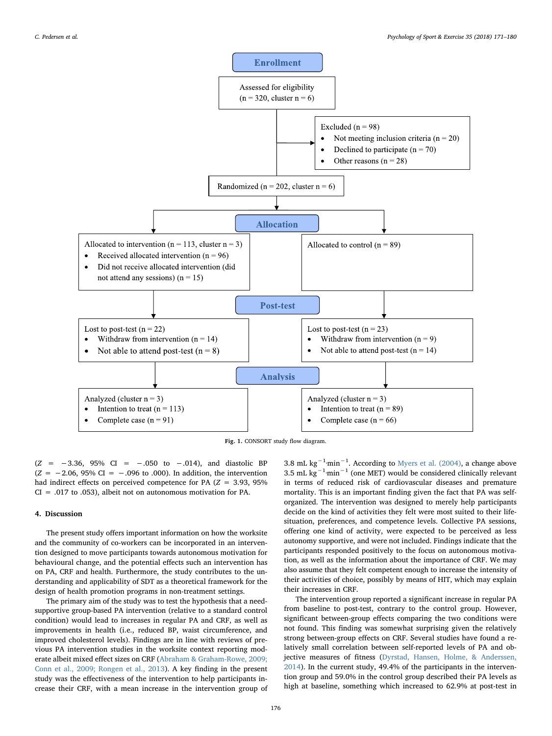<span id="page-5-0"></span>

Fig. 1. CONSORT study flow diagram.

 $(Z = -3.36, 95\% \text{ CI} = -0.050 \text{ to } -0.014)$ , and diastolic BP  $(Z = -2.06, 95\% \text{ CI} = -.096 \text{ to } .000)$ . In addition, the intervention had indirect effects on perceived competence for PA  $(Z = 3.93, 95\%)$  $CI = .017$  to  $.053$ ), albeit not on autonomous motivation for PA.

# 4. Discussion

The present study offers important information on how the worksite and the community of co-workers can be incorporated in an intervention designed to move participants towards autonomous motivation for behavioural change, and the potential effects such an intervention has on PA, CRF and health. Furthermore, the study contributes to the understanding and applicability of SDT as a theoretical framework for the design of health promotion programs in non-treatment settings.

The primary aim of the study was to test the hypothesis that a needsupportive group-based PA intervention (relative to a standard control condition) would lead to increases in regular PA and CRF, as well as improvements in health (i.e., reduced BP, waist circumference, and improved cholesterol levels). Findings are in line with reviews of previous PA intervention studies in the worksite context reporting moderate albeit mixed effect sizes on CRF [\(Abraham & Graham-Rowe, 2009;](#page-8-3) [Conn et al., 2009; Rongen et al., 2013\)](#page-8-3). A key finding in the present study was the effectiveness of the intervention to help participants increase their CRF, with a mean increase in the intervention group of

3.8 mL  $\text{kg}^{-1}$ ·min<sup>-1</sup>. According to [Myers et al. \(2004\),](#page-9-16) a change above 3.5 mL kg<sup>-1</sup>·min<sup>-1</sup> (one MET) would be considered clinically relevant in terms of reduced risk of cardiovascular diseases and premature mortality. This is an important finding given the fact that PA was selforganized. The intervention was designed to merely help participants decide on the kind of activities they felt were most suited to their lifesituation, preferences, and competence levels. Collective PA sessions, offering one kind of activity, were expected to be perceived as less autonomy supportive, and were not included. Findings indicate that the participants responded positively to the focus on autonomous motivation, as well as the information about the importance of CRF. We may also assume that they felt competent enough to increase the intensity of their activities of choice, possibly by means of HIT, which may explain their increases in CRF.

The intervention group reported a significant increase in regular PA from baseline to post-test, contrary to the control group. However, significant between-group effects comparing the two conditions were not found. This finding was somewhat surprising given the relatively strong between-group effects on CRF. Several studies have found a relatively small correlation between self-reported levels of PA and objective measures of fitness ([Dyrstad, Hansen, Holme, & Anderssen,](#page-8-25) [2014\)](#page-8-25). In the current study, 49.4% of the participants in the intervention group and 59.0% in the control group described their PA levels as high at baseline, something which increased to 62.9% at post-test in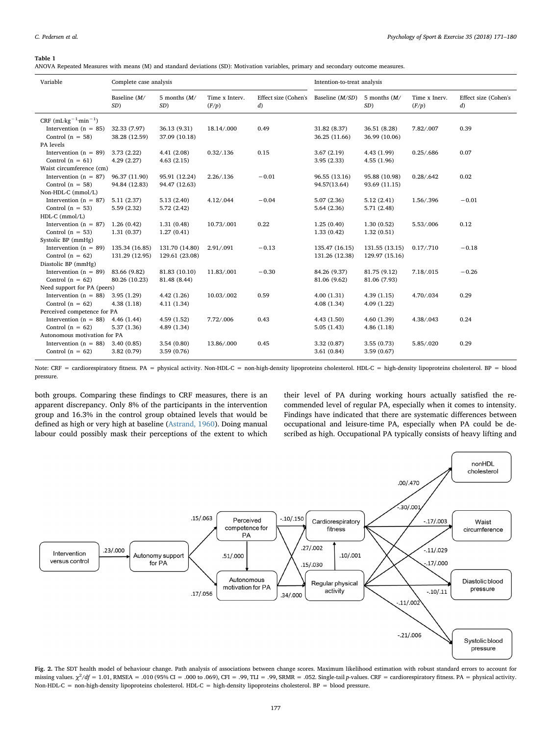#### <span id="page-6-0"></span>Table 1

ANOVA Repeated Measures with means (M) and standard deviations (SD): Motivation variables, primary and secondary outcome measures.

| Variable                                | Complete case analysis |                       |                         |                                            | Intention-to-treat analysis |                       |                        |                                            |
|-----------------------------------------|------------------------|-----------------------|-------------------------|--------------------------------------------|-----------------------------|-----------------------|------------------------|--------------------------------------------|
|                                         | Baseline $(M/$<br>SD)  | 5 months $(M/$<br>SD) | Time x Interv.<br>(F/p) | Effect size (Cohen's<br>$\left( d \right)$ | Baseline $(M/SD)$           | 5 months $(M/$<br>SD) | Time x Inerv.<br>(F/p) | Effect size (Cohen's<br>$\left( d \right)$ |
| CRF $(mL \cdot kg^{-1} \cdot min^{-1})$ |                        |                       |                         |                                            |                             |                       |                        |                                            |
| Intervention ( $n = 85$ )               | 32.33 (7.97)           | 36.13 (9.31)          | 18.14/.000              | 0.49                                       | 31.82 (8.37)                | 36.51 (8.28)          | 7.82/.007              | 0.39                                       |
| Control $(n = 58)$                      | 38.28 (12.59)          | 37.09 (10.18)         |                         |                                            | 36.25 (11.66)               | 36.99 (10.06)         |                        |                                            |
| PA levels                               |                        |                       |                         |                                            |                             |                       |                        |                                            |
| Intervention ( $n = 89$ )               | 3.73(2.22)             | 4.41(2.08)            | 0.32 / 136              | 0.15                                       | 3.67(2.19)                  | 4.43 (1.99)           | 0.25 / .686            | 0.07                                       |
| Control $(n = 61)$                      | 4.29(2.27)             | 4.63(2.15)            |                         |                                            | 3.95(2.33)                  | 4.55(1.96)            |                        |                                            |
| Waist circumference (cm)                |                        |                       |                         |                                            |                             |                       |                        |                                            |
| Intervention ( $n = 87$ )               | 96.37 (11.90)          | 95.91 (12.24)         | 2.26 / 136              | $-0.01$                                    | 96.55 (13.16)               | 95.88 (10.98)         | 0.28 / .642            | 0.02                                       |
| Control $(n = 58)$                      | 94.84 (12.83)          | 94.47 (12.63)         |                         |                                            | 94.57(13.64)                | 93.69 (11.15)         |                        |                                            |
| Non-HDL-C (mmol/L)                      |                        |                       |                         |                                            |                             |                       |                        |                                            |
| Intervention ( $n = 87$ )               | 5.11(2.37)             | 5.13(2.40)            | 4.12/.044               | $-0.04$                                    | 5.07(2.36)                  | 5.12(2.41)            | 1.56/.396              | $-0.01$                                    |
| Control $(n = 53)$                      | 5.59(2.32)             | 5.72(2.42)            |                         |                                            | 5.64(2.36)                  | 5.71 (2.48)           |                        |                                            |
| $HDL-C$ (mmol/L)                        |                        |                       |                         |                                            |                             |                       |                        |                                            |
| Intervention $(n = 87)$                 | 1.26(0.42)             | 1.31(0.48)            | 10.73/.001              | 0.22                                       | 1.25(0.40)                  | 1.30(0.52)            | 5.53/.006              | 0.12                                       |
| Control $(n = 53)$                      | 1.31(0.37)             | 1.27(0.41)            |                         |                                            | 1.33(0.42)                  | 1.32(0.51)            |                        |                                            |
| Systolic BP (mmHg)                      |                        |                       |                         |                                            |                             |                       |                        |                                            |
| Intervention ( $n = 89$ )               | 135.34 (16.85)         | 131.70 (14.80)        | 2.91/.091               | $-0.13$                                    | 135.47 (16.15)              | 131.55 (13.15)        | 0.17 / .710            | $-0.18$                                    |
| Control $(n = 62)$                      | 131.29 (12.95)         | 129.61 (23.08)        |                         |                                            | 131.26 (12.38)              | 129.97 (15.16)        |                        |                                            |
| Diastolic BP (mmHg)                     |                        |                       |                         |                                            |                             |                       |                        |                                            |
| Intervention ( $n = 89$ )               | 83.66 (9.82)           | 81.83 (10.10)         | 11.83/.001              | $-0.30$                                    | 84.26 (9.37)                | 81.75 (9.12)          | 7.18/.015              | $-0.26$                                    |
| Control $(n = 62)$                      | 80.26 (10.23)          | 81.48 (8.44)          |                         |                                            | 81.06 (9.62)                | 81.06 (7.93)          |                        |                                            |
| Need support for PA (peers)             |                        |                       |                         |                                            |                             |                       |                        |                                            |
| Intervention ( $n = 88$ )               | 3.95(1.29)             | 4.42(1.26)            | 10.03/.002              | 0.59                                       | 4.00(1.31)                  | 4.39(1.15)            | 4.70/.034              | 0.29                                       |
| Control $(n = 62)$                      | 4.38(1.18)             | 4.11(1.34)            |                         |                                            | 4.08(1.34)                  | 4.09(1.22)            |                        |                                            |
| Perceived competence for PA             |                        |                       |                         |                                            |                             |                       |                        |                                            |
| Intervention ( $n = 88$ )               | 4.46(1.44)             | 4.59(1.52)            | 7.72/.006               | 0.43                                       | 4.43(1.50)                  | 4.60(1.39)            | 4.38/.043              | 0.24                                       |
| Control $(n = 62)$                      | 5.37 (1.36)            | 4.89 (1.34)           |                         |                                            | 5.05(1.43)                  | 4.86(1.18)            |                        |                                            |
| Autonomous motivation for PA            |                        |                       |                         |                                            |                             |                       |                        |                                            |
| Intervention $(n = 88)$                 | 3.40(0.85)             | 3.54(0.80)            | 13.86/.000              | 0.45                                       | 3.32(0.87)                  | 3.55(0.73)            | 5.85/.020              | 0.29                                       |
| Control $(n = 62)$                      | 3.82 (0.79)            | 3.59(0.76)            |                         |                                            | 3.61(0.84)                  | 3.59(0.67)            |                        |                                            |

Note: CRF = cardiorespiratory fitness. PA = physical activity. Non-HDL-C = non-high-density lipoproteins cholesterol. HDL-C = high-density lipoproteins cholesterol. BP = blood pressure.

both groups. Comparing these findings to CRF measures, there is an apparent discrepancy. Only 8% of the participants in the intervention group and 16.3% in the control group obtained levels that would be defined as high or very high at baseline ([Astrand, 1960\)](#page-8-26). Doing manual labour could possibly mask their perceptions of the extent to which

their level of PA during working hours actually satisfied the recommended level of regular PA, especially when it comes to intensity. Findings have indicated that there are systematic differences between occupational and leisure-time PA, especially when PA could be described as high. Occupational PA typically consists of heavy lifting and

<span id="page-6-1"></span>

Fig. 2. The SDT health model of behaviour change. Path analysis of associations between change scores. Maximum likelihood estimation with robust standard errors to account for missing values.  $\chi^2/df = 1.01$ , RMSEA = .010 (95% CI = .000 to .069), CFI = .99, TLI = .99, SRMR = .052. Single-tail p-values. CRF = cardiorespiratory fitness. PA = physical activity. Non-HDL-C = non-high-density lipoproteins cholesterol. HDL-C = high-density lipoproteins cholesterol. BP = blood pressure.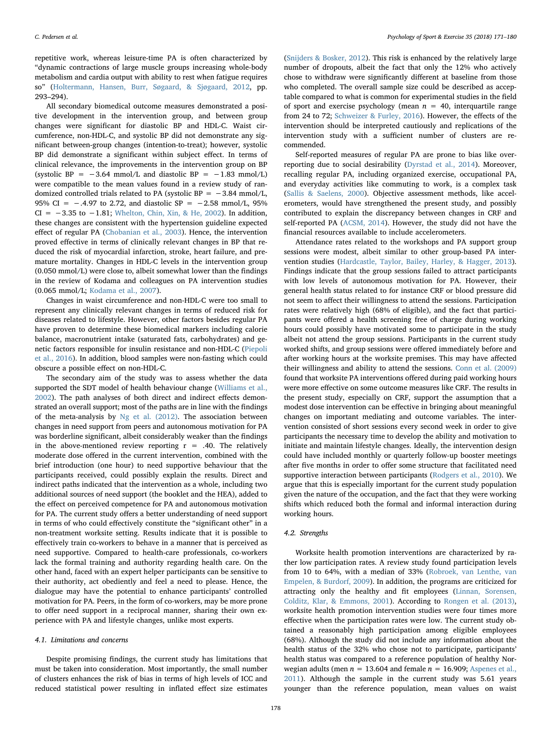repetitive work, whereas leisure-time PA is often characterized by "dynamic contractions of large muscle groups increasing whole-body metabolism and cardia output with ability to rest when fatigue requires so" [\(Holtermann, Hansen, Burr, Søgaard, & Sjøgaard, 2012,](#page-8-27) pp. 293–294).

All secondary biomedical outcome measures demonstrated a positive development in the intervention group, and between group changes were significant for diastolic BP and HDL-C. Waist circumference, non-HDL-C, and systolic BP did not demonstrate any significant between-group changes (intention-to-treat); however, systolic BP did demonstrate a significant within subject effect. In terms of clinical relevance, the improvements in the intervention group on BP (systolic BP =  $-3.64$  mmol/L and diastolic BP =  $-1.83$  mmol/L) were compatible to the mean values found in a review study of randomized controlled trials related to PA (systolic BP =  $-3.84$  mmol/L, 95% CI = −.4.97 to 2.72, and diastolic SP = −2.58 mmol/L, 95% CI =  $-3.35$  to  $-1.81$ ; [Whelton, Chin, Xin, & He, 2002\)](#page-9-24). In addition, these changes are consistent with the hypertension guideline expected effect of regular PA ([Chobanian et al., 2003\)](#page-8-28). Hence, the intervention proved effective in terms of clinically relevant changes in BP that reduced the risk of myocardial infarction, stroke, heart failure, and premature mortality. Changes in HDL-C levels in the intervention group (0.050 mmol/L) were close to, albeit somewhat lower than the findings in the review of Kodama and colleagues on PA intervention studies (0.065 mmol/L; [Kodama et al., 2007\)](#page-8-29).

Changes in waist circumference and non-HDL-C were too small to represent any clinically relevant changes in terms of reduced risk for diseases related to lifestyle. However, other factors besides regular PA have proven to determine these biomedical markers including calorie balance, macronutrient intake (saturated fats, carbohydrates) and genetic factors responsible for insulin resistance and non-HDL-C [\(Piepoli](#page-9-15) [et al., 2016](#page-9-15)). In addition, blood samples were non-fasting which could obscure a possible effect on non-HDL-C.

The secondary aim of the study was to assess whether the data supported the SDT model of health behaviour change ([Williams et al.,](#page-9-14) [2002\)](#page-9-14). The path analyses of both direct and indirect effects demonstrated an overall support; most of the paths are in line with the findings of the meta-analysis by [Ng et al. \(2012\).](#page-9-6) The association between changes in need support from peers and autonomous motivation for PA was borderline significant, albeit considerably weaker than the findings in the above-mentioned review reporting  $r = .40$ . The relatively moderate dose offered in the current intervention, combined with the brief introduction (one hour) to need supportive behaviour that the participants received, could possibly explain the results. Direct and indirect paths indicated that the intervention as a whole, including two additional sources of need support (the booklet and the HEA), added to the effect on perceived competence for PA and autonomous motivation for PA. The current study offers a better understanding of need support in terms of who could effectively constitute the "significant other" in a non-treatment worksite setting. Results indicate that it is possible to effectively train co-workers to behave in a manner that is perceived as need supportive. Compared to health-care professionals, co-workers lack the formal training and authority regarding health care. On the other hand, faced with an expert helper participants can be sensitive to their authority, act obediently and feel a need to please. Hence, the dialogue may have the potential to enhance participants' controlled motivation for PA. Peers, in the form of co-workers, may be more prone to offer need support in a reciprocal manner, sharing their own experience with PA and lifestyle changes, unlike most experts.

#### 4.1. Limitations and concerns

Despite promising findings, the current study has limitations that must be taken into consideration. Most importantly, the small number of clusters enhances the risk of bias in terms of high levels of ICC and reduced statistical power resulting in inflated effect size estimates

([Snijders & Bosker, 2012\)](#page-9-20). This risk is enhanced by the relatively large number of dropouts, albeit the fact that only the 12% who actively chose to withdraw were significantly different at baseline from those who completed. The overall sample size could be described as acceptable compared to what is common for experimental studies in the field of sport and exercise psychology (mean  $n = 40$ , interquartile range from 24 to 72; [Schweizer & Furley, 2016](#page-9-25)). However, the effects of the intervention should be interpreted cautiously and replications of the intervention study with a sufficient number of clusters are recommended.

Self-reported measures of regular PA are prone to bias like overreporting due to social desirability ([Dyrstad et al., 2014\)](#page-8-25). Moreover, recalling regular PA, including organized exercise, occupational PA, and everyday activities like commuting to work, is a complex task ([Sallis & Saelens, 2000](#page-9-26)). Objective assessment methods, like accelerometers, would have strengthened the present study, and possibly contributed to explain the discrepancy between changes in CRF and self-reported PA [\(ACSM, 2014](#page-8-0)). However, the study did not have the financial resources available to include accelerometers.

Attendance rates related to the workshops and PA support group sessions were modest, albeit similar to other group-based PA intervention studies [\(Hardcastle, Taylor, Bailey, Harley, & Hagger, 2013](#page-8-30)). Findings indicate that the group sessions failed to attract participants with low levels of autonomous motivation for PA. However, their general health status related to for instance CRF or blood pressure did not seem to affect their willingness to attend the sessions. Participation rates were relatively high (68% of eligible), and the fact that participants were offered a health screening free of charge during working hours could possibly have motivated some to participate in the study albeit not attend the group sessions. Participants in the current study worked shifts, and group sessions were offered immediately before and after working hours at the worksite premises. This may have affected their willingness and ability to attend the sessions. [Conn et al. \(2009\)](#page-8-4) found that worksite PA interventions offered during paid working hours were more effective on some outcome measures like CRF. The results in the present study, especially on CRF, support the assumption that a modest dose intervention can be effective in bringing about meaningful changes on important mediating and outcome variables. The intervention consisted of short sessions every second week in order to give participants the necessary time to develop the ability and motivation to initiate and maintain lifestyle changes. Ideally, the intervention design could have included monthly or quarterly follow-up booster meetings after five months in order to offer some structure that facilitated need supportive interaction between participants [\(Rodgers et al., 2010\)](#page-9-5). We argue that this is especially important for the current study population given the nature of the occupation, and the fact that they were working shifts which reduced both the formal and informal interaction during working hours.

## 4.2. Strengths

Worksite health promotion interventions are characterized by rather low participation rates. A review study found participation levels from 10 to 64%, with a median of 33% ([Robroek, van Lenthe, van](#page-9-27) [Empelen, & Burdorf, 2009](#page-9-27)). In addition, the programs are criticized for attracting only the healthy and fit employees ([Linnan, Sorensen,](#page-8-31) [Colditz, Klar, & Emmons, 2001\)](#page-8-31). According to [Rongen et al. \(2013\)](#page-9-28), worksite health promotion intervention studies were four times more effective when the participation rates were low. The current study obtained a reasonably high participation among eligible employees (68%). Although the study did not include any information about the health status of the 32% who chose not to participate, participants' health status was compared to a reference population of healthy Norwegian adults (men  $n = 13.604$  and female  $n = 16.909$ ; [Aspenes et al.,](#page-8-16) [2011\)](#page-8-16). Although the sample in the current study was 5.61 years younger than the reference population, mean values on waist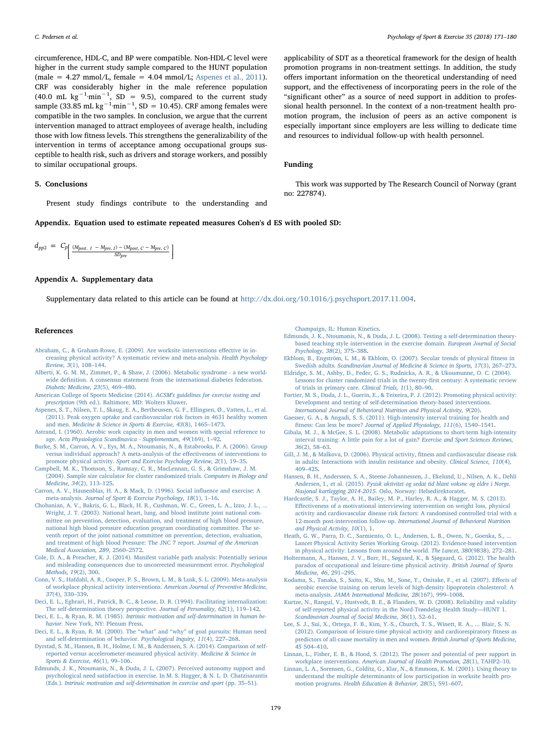circumference, HDL-C, and BP were compatible. Non-HDL-C level were higher in the current study sample compared to the HUNT population (male =  $4.27$  mmol/L, female =  $4.04$  mmol/L; [Aspenes et al., 2011](#page-8-16)). CRF was considerably higher in the male reference population  $(40.0 \text{ mL kg}^{-1} \cdot \text{min}^{-1}, SD = 9.5)$ , compared to the current study sample (33.85 mL kg<sup>-1.</sup>min<sup>-1</sup>, SD = 10.45). CRF among females were compatible in the two samples. In conclusion, we argue that the current intervention managed to attract employees of average health, including those with low fitness levels. This strengthens the generalizability of the intervention in terms of acceptance among occupational groups susceptible to health risk, such as drivers and storage workers, and possibly to similar occupational groups.

## 5. Conclusions

Present study findings contribute to the understanding and

<span id="page-8-21"></span>Appendix. Equation used to estimate repeated measures Cohen's d ES with pooled SD:

 $= C_p$  $\left\{ \frac{(M_{post, I} - M_{pre, I}) - (M_{post, C} - M_{pre, C})}{SD_{pre}} \right\}$  $d_{pp2} = C_p \left[ \frac{(M_{post, I} - M_{pre, I}) - (M_{post, C} - M_{pre, C})}{SD_{pre}} \right]$ 

## Appendix A. Supplementary data

Supplementary data related to this article can be found at [http://dx.doi.org/10.1016/j.psychsport.2017.11.004.](http://dx.doi.org/10.1016/j.psychsport.2017.11.004)

#### References

- <span id="page-8-3"></span>[Abraham, C., & Graham-Rowe, E. \(2009\). Are worksite interventions e](http://refhub.elsevier.com/S1469-0292(17)30108-5/sref1)ffective in in[creasing physical activity? A systematic review and meta-analysis.](http://refhub.elsevier.com/S1469-0292(17)30108-5/sref1) Health Psychology [Review, 3](http://refhub.elsevier.com/S1469-0292(17)30108-5/sref1)(1), 108–144.
- <span id="page-8-15"></span>[Alberti, K. G. M. M., Zimmet, P., & Shaw, J. \(2006\). Metabolic syndrome - a new world](http://refhub.elsevier.com/S1469-0292(17)30108-5/sref2)wide defi[nition. A consensus statement from the international diabetes federation.](http://refhub.elsevier.com/S1469-0292(17)30108-5/sref2) [Diabetic Medicine, 23](http://refhub.elsevier.com/S1469-0292(17)30108-5/sref2)(5), 469–480.
- <span id="page-8-0"></span>[American College of Sports Medicine \(2014\).](http://refhub.elsevier.com/S1469-0292(17)30108-5/sref3) ACSM's guidelines for exercise testing and prescription [\(9th ed.\). Baltimore, MD: Wolters Kluwer.](http://refhub.elsevier.com/S1469-0292(17)30108-5/sref3)
- <span id="page-8-16"></span>[Aspenes, S. T., Nilsen, T. I., Skaug, E. A., Bertheussen, G. F., Ellingsen, Ø., Vatten, L., et al.](http://refhub.elsevier.com/S1469-0292(17)30108-5/sref4) [\(2011\). Peak oxygen uptake and cardiovascular risk factors in 4631 healthy women](http://refhub.elsevier.com/S1469-0292(17)30108-5/sref4) and men. [Medicine & Science in Sports & Exercise, 43](http://refhub.elsevier.com/S1469-0292(17)30108-5/sref4)(8), 1465–1473.
- <span id="page-8-26"></span>[Astrand, I. \(1960\). Aerobic work capacity in men and women with special reference to](http://refhub.elsevier.com/S1469-0292(17)30108-5/sref5) age. [Acta Physiologica Scandinavica - Supplementum, 49](http://refhub.elsevier.com/S1469-0292(17)30108-5/sref5)(169), 1–92.
- <span id="page-8-12"></span>[Burke, S. M., Carron, A. V., Eys, M. A., Ntoumanis, N., & Estabrooks, P. A. \(2006\). Group](http://refhub.elsevier.com/S1469-0292(17)30108-5/sref6) [versus individual approach? A meta-analysis of the e](http://refhub.elsevier.com/S1469-0292(17)30108-5/sref6)ffectiveness of interventions to promote physical activity. [Sport and Exercise Psychology Review, 2](http://refhub.elsevier.com/S1469-0292(17)30108-5/sref6)(1), 19–35.
- <span id="page-8-19"></span>[Campbell, M. K., Thomson, S., Ramsay, C. R., MacLennan, G. S., & Grimshaw, J. M.](http://refhub.elsevier.com/S1469-0292(17)30108-5/sref7) [\(2004\). Sample size calculator for cluster randomized trials.](http://refhub.elsevier.com/S1469-0292(17)30108-5/sref7) Computers in Biology and [Medicine, 34](http://refhub.elsevier.com/S1469-0292(17)30108-5/sref7)(2), 113–125.
- <span id="page-8-11"></span>[Carron, A. V., Hausenblas, H. A., & Mack, D. \(1996\). Social in](http://refhub.elsevier.com/S1469-0292(17)30108-5/sref8)fluence and exercise: A meta-analysis. [Journal of Sport & Exercise Psychology, 18](http://refhub.elsevier.com/S1469-0292(17)30108-5/sref8)(1), 1–16.
- <span id="page-8-28"></span>[Chobanian, A. V., Bakris, G. L., Black, H. R., Cushman, W. C., Green, L. A., Izzo, J. L., ...](http://refhub.elsevier.com/S1469-0292(17)30108-5/sref9) [Wright, J. T. \(2003\). National heart, lung, and blood institute joint national com](http://refhub.elsevier.com/S1469-0292(17)30108-5/sref9)[mittee on prevention, detection, evaluation, and treatment of high blood pressure,](http://refhub.elsevier.com/S1469-0292(17)30108-5/sref9) [national high blood pressure education program coordinating committee. The se](http://refhub.elsevier.com/S1469-0292(17)30108-5/sref9)[venth report of the joint national committee on prevention, detection, evaluation,](http://refhub.elsevier.com/S1469-0292(17)30108-5/sref9) [and treatment of high blood Pressure: The JNC 7 report.](http://refhub.elsevier.com/S1469-0292(17)30108-5/sref9) Journal of the American [Medical Association, 289](http://refhub.elsevier.com/S1469-0292(17)30108-5/sref9), 2560–2572.
- <span id="page-8-24"></span>[Cole, D. A., & Preacher, K. J. \(2014\). Manifest variable path analysis: Potentially serious](http://refhub.elsevier.com/S1469-0292(17)30108-5/sref10) [and misleading consequences due to uncorrected measurement error.](http://refhub.elsevier.com/S1469-0292(17)30108-5/sref10) Psychological [Methods, 19](http://refhub.elsevier.com/S1469-0292(17)30108-5/sref10)(2), 300.
- <span id="page-8-4"></span>[Conn, V. S., Hafdahl, A. R., Cooper, P. S., Brown, L. M., & Lusk, S. L. \(2009\). Meta-analysis](http://refhub.elsevier.com/S1469-0292(17)30108-5/sref11) [of workplace physical activity interventions.](http://refhub.elsevier.com/S1469-0292(17)30108-5/sref11) American Journal of Preventive Medicine, 37[\(4\), 330](http://refhub.elsevier.com/S1469-0292(17)30108-5/sref11)–339.
- <span id="page-8-8"></span>[Deci, E. L., Eghrari, H., Patrick, B. C., & Leone, D. R. \(1994\). Facilitating internalization:](http://refhub.elsevier.com/S1469-0292(17)30108-5/sref12) [The self-determination theory perspective.](http://refhub.elsevier.com/S1469-0292(17)30108-5/sref12) Journal of Personality, 62(1), 119–142.
- <span id="page-8-5"></span>Deci, E. L., & Ryan, R. M. (1985). [Intrinsic motivation and self-determination in human be](http://refhub.elsevier.com/S1469-0292(17)30108-5/sref13)havior. [New York, NY: Plenum Press.](http://refhub.elsevier.com/S1469-0292(17)30108-5/sref13)
- <span id="page-8-7"></span>Deci, [E. L., & Ryan, R. M. \(2000\). The](http://refhub.elsevier.com/S1469-0292(17)30108-5/sref14) "what" and "why" of goal pursuits: Human need [and self-determination of behavior.](http://refhub.elsevier.com/S1469-0292(17)30108-5/sref14) Psychological Inquiry, 11(4), 227–268.
- <span id="page-8-25"></span>[Dyrstad, S. M., Hansen, B. H., Holme, I. M., & Anderssen, S. A. \(2014\). Comparison of self](http://refhub.elsevier.com/S1469-0292(17)30108-5/sref15)[reported versus accelerometer-measured physical activity.](http://refhub.elsevier.com/S1469-0292(17)30108-5/sref15) Medicine & Science in [Sports & Exercise, 46](http://refhub.elsevier.com/S1469-0292(17)30108-5/sref15)(1), 99–106.
- <span id="page-8-10"></span>[Edmunds, J. K., Ntoumanis, N., & Duda, J. L. \(2007\). Perceived autonomy support and](http://refhub.elsevier.com/S1469-0292(17)30108-5/sref16) [psychological need satisfaction in exercise. In M. S. Hagger, & N. L. D. Chatzisarantis](http://refhub.elsevier.com/S1469-0292(17)30108-5/sref16) (Eds.). [Intrinsic motivation and self-determination in exercise and sport](http://refhub.elsevier.com/S1469-0292(17)30108-5/sref16) (pp. 35–51).

[Champaign, IL: Human Kinetics.](http://refhub.elsevier.com/S1469-0292(17)30108-5/sref16)

Funding

no: 227874).

- <span id="page-8-13"></span>[Edmunds, J. K., Ntoumanis, N., & Duda, J. L. \(2008\). Testing a self-determination theory](http://refhub.elsevier.com/S1469-0292(17)30108-5/sref17)[based teaching style intervention in the exercise domain.](http://refhub.elsevier.com/S1469-0292(17)30108-5/sref17) European Journal of Social [Psychology, 38](http://refhub.elsevier.com/S1469-0292(17)30108-5/sref17)(2), 375–388.
- <span id="page-8-22"></span>[Ekblom, B., Engström, L. M., & Ekblom, O. \(2007\). Secular trends of physical](http://refhub.elsevier.com/S1469-0292(17)30108-5/sref18) fitness in Swedish adults. [Scandinavian Journal of Medicine & Science in Sports, 17](http://refhub.elsevier.com/S1469-0292(17)30108-5/sref18)(3), 267–273.
- <span id="page-8-20"></span>[Eldridge, S. M., Ashby, D., Feder, G. S., Rudnicka, A. R., & Ukoumunne, O. C. \(2004\).](http://refhub.elsevier.com/S1469-0292(17)30108-5/sref19) [Lessons for cluster randomized trials in the twenty-](http://refhub.elsevier.com/S1469-0292(17)30108-5/sref19)first century: A systematic review [of trials in primary care.](http://refhub.elsevier.com/S1469-0292(17)30108-5/sref19) Clinical Trials, 1(1), 80–90.
- <span id="page-8-9"></span>[Fortier, M. S., Duda, J. L., Guerin, E., & Teixeira, P. J. \(2012\). Promoting physical activity:](http://refhub.elsevier.com/S1469-0292(17)30108-5/sref20) [Development and testing of self-determination theory-based interventions.](http://refhub.elsevier.com/S1469-0292(17)30108-5/sref20) [International Journal of Behavioral Nutrition and Physical Activity, 9](http://refhub.elsevier.com/S1469-0292(17)30108-5/sref20)(20).
- <span id="page-8-17"></span>[Gaesser, G. A., & Angadi, S. S. \(2011\). High-intensity interval training for health and](http://refhub.elsevier.com/S1469-0292(17)30108-5/sref21) fitness: Can less be more? [Journal of Applied Physiology, 111](http://refhub.elsevier.com/S1469-0292(17)30108-5/sref21)(6), 1540–1541.
- <span id="page-8-18"></span>[Gibala, M. J., & McGee, S. L. \(2008\). Metabolic adaptations to short-term high-intensity](http://refhub.elsevier.com/S1469-0292(17)30108-5/sref22) [interval training: A little pain for a lot of gain?](http://refhub.elsevier.com/S1469-0292(17)30108-5/sref22) Exercise and Sport Sciences Reviews, 36[\(2\), 58](http://refhub.elsevier.com/S1469-0292(17)30108-5/sref22)–63.
- <span id="page-8-14"></span>[Gill, J. M., & Malkova, D. \(2006\). Physical activity,](http://refhub.elsevier.com/S1469-0292(17)30108-5/sref23) fitness and cardiovascular disease risk [in adults: Interactions with insulin resistance and obesity.](http://refhub.elsevier.com/S1469-0292(17)30108-5/sref23) Clinical Science, 110(4), 409–[425](http://refhub.elsevier.com/S1469-0292(17)30108-5/sref23).
- <span id="page-8-1"></span>[Hansen, B. H., Anderssen, S. A., Steene-Johannessen, J., Ekelund, U., Nilsen, A. K., Dehli](http://refhub.elsevier.com/S1469-0292(17)30108-5/sref24) Andersen, I., et al. (2015). [Fysisk aktivitet og sedat tid blant voksne og eldre i Norge.](http://refhub.elsevier.com/S1469-0292(17)30108-5/sref24) Nasjonal kartlegging 2014-2015. [Oslo, Norway: Helsedirektoratet.](http://refhub.elsevier.com/S1469-0292(17)30108-5/sref24)
- <span id="page-8-30"></span>[Hardcastle, S. J., Taylor, A. H., Bailey, M. P., Harley, R. A., & Hagger, M. S. \(2013\).](http://refhub.elsevier.com/S1469-0292(17)30108-5/sref25) Eff[ectiveness of a motivational interviewing intervention on weight loss, physical](http://refhub.elsevier.com/S1469-0292(17)30108-5/sref25) activity [and cardiovascular disease risk factors: A randomised controlled trial with a](http://refhub.elsevier.com/S1469-0292(17)30108-5/sref25) 12-month post-intervention follow-up. [International Journal of Behavioral Nutrition](http://refhub.elsevier.com/S1469-0292(17)30108-5/sref25) [and Physical Activity, 10](http://refhub.elsevier.com/S1469-0292(17)30108-5/sref25)(1), 1.
- <span id="page-8-2"></span>Heath, G. W., Parra, D. C., Sarmiento, O. L., Andersen, L. B., Owen, N., Goenka, S., . [Lancet Physical Activity Series Working Group. \(2012\). Evidence-based intervention](http://refhub.elsevier.com/S1469-0292(17)30108-5/sref26) [in physical activity: Lessons from around the world.](http://refhub.elsevier.com/S1469-0292(17)30108-5/sref26) The Lancet, 380(9838), 272–281.
- <span id="page-8-27"></span>[Holtermann, A., Hansen, J. V., Burr, H., Søgaard, K., & Sjøgaard, G. \(2012\). The health](http://refhub.elsevier.com/S1469-0292(17)30108-5/sref27) [paradox of occupational and leisure-time physical activity.](http://refhub.elsevier.com/S1469-0292(17)30108-5/sref27) British Journal of Sports [Medicine, 46](http://refhub.elsevier.com/S1469-0292(17)30108-5/sref27), 291–295.
- <span id="page-8-29"></span>[Kodama, S., Tanaka, S., Saito, K., Shu, M., Sone, Y., Onitake, F., et al. \(2007\). E](http://refhub.elsevier.com/S1469-0292(17)30108-5/sref28)ffects of [aerobic exercise training on serum levels of high-density lipoprotein cholesterol: A](http://refhub.elsevier.com/S1469-0292(17)30108-5/sref28) meta-analysis. [JAMA International Medicine, 28](http://refhub.elsevier.com/S1469-0292(17)30108-5/sref28)(167), 999–1008.
- <span id="page-8-23"></span>[Kurtze, N., Rangul, V., Hustvedt, B. E., & Flanders, W. D. \(2008\). Reliability and validity](http://refhub.elsevier.com/S1469-0292(17)30108-5/sref29) [of self-reported physical activity in the Nord-Trøndelag Health Study](http://refhub.elsevier.com/S1469-0292(17)30108-5/sref29)—HUNT 1. [Scandinavian Journal of Social Medicine, 36](http://refhub.elsevier.com/S1469-0292(17)30108-5/sref29)(1), 52–61.
- [Lee, S. J., Sui, X., Ortega, F. B., Kim, Y.-S., Church, T. S., Winett, R. A., ... Blair, S. N.](http://refhub.elsevier.com/S1469-0292(17)30108-5/sref31) [\(2012\). Comparison of leisure-time physical activity and cardiorespiratory](http://refhub.elsevier.com/S1469-0292(17)30108-5/sref31) fitness as [predictors of all-cause mortality in men and women.](http://refhub.elsevier.com/S1469-0292(17)30108-5/sref31) British Journal of Sports Medicine, 45 504–[410.](http://refhub.elsevier.com/S1469-0292(17)30108-5/sref31)
- <span id="page-8-6"></span>[Linnan, L., Fisher, E. B., & Hood, S. \(2012\). The power and potential of peer support in](http://refhub.elsevier.com/S1469-0292(17)30108-5/sref32) workplace interventions. [American Journal of Health Promotion, 28](http://refhub.elsevier.com/S1469-0292(17)30108-5/sref32)(1), TAHP2–10.
- <span id="page-8-31"></span>[Linnan, L. A., Sorensen, G., Colditz, G., Klar, N., & Emmons, K. M. \(2001\). Using theory to](http://refhub.elsevier.com/S1469-0292(17)30108-5/sref33) [understand the multiple determinants of low participation in worksite health pro](http://refhub.elsevier.com/S1469-0292(17)30108-5/sref33)motion programs. [Health Education & Behavior, 28](http://refhub.elsevier.com/S1469-0292(17)30108-5/sref33)(5), 591–607.

applicability of SDT as a theoretical framework for the design of health promotion programs in non-treatment settings. In addition, the study offers important information on the theoretical understanding of need support, and the effectiveness of incorporating peers in the role of the "significant other" as a source of need support in addition to professional health personnel. In the context of a non-treatment health promotion program, the inclusion of peers as an active component is especially important since employers are less willing to dedicate time

This work was supported by The Research Council of Norway (grant

and resources to individual follow-up with health personnel.